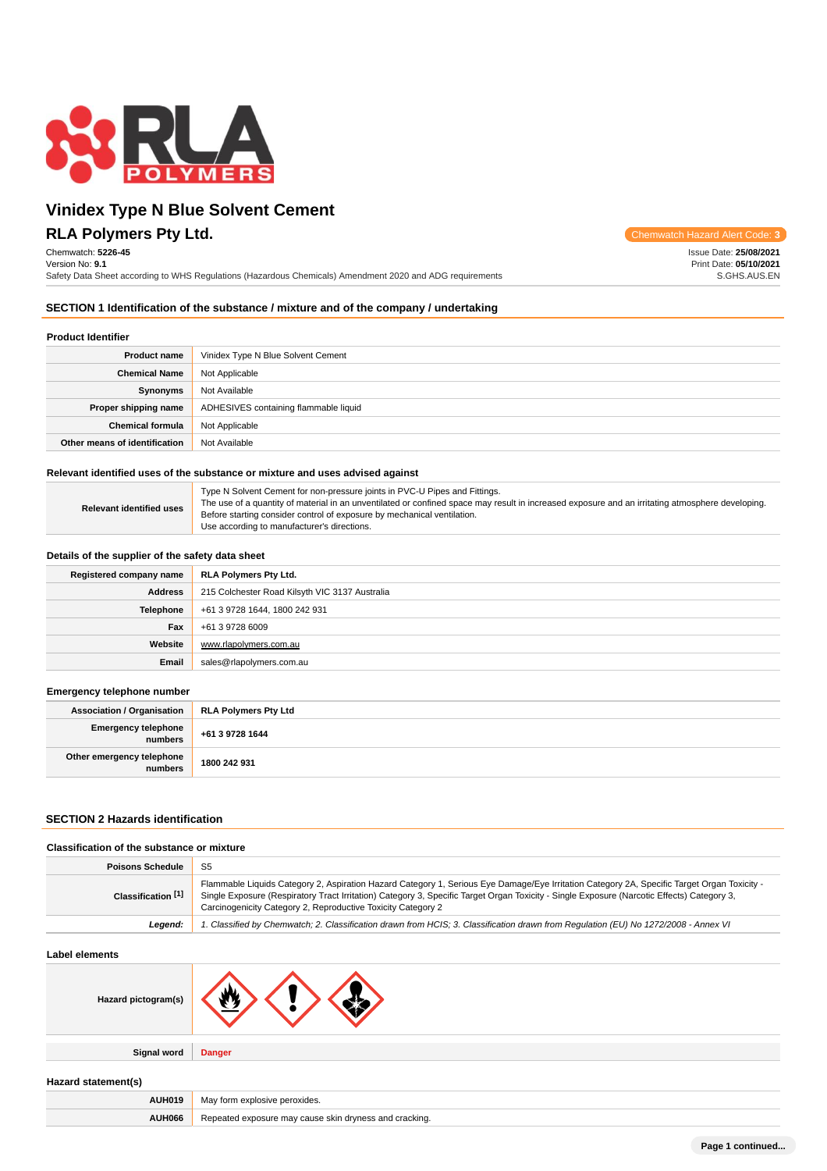

## **RLA Polymers Pty Ltd.** Chemwatch Hazard Alert Code: **3**

Chemwatch: **5226-45** Version No: **9.1** Safety Data Sheet according to WHS Regulations (Hazardous Chemicals) Amendment 2020 and ADG requirements

Issue Date: **25/08/2021** Print Date: **05/10/2021** S.GHS.AUS.EN

### **SECTION 1 Identification of the substance / mixture and of the company / undertaking**

## **Product Identifier**

| <b>Product name</b>           | Vinidex Type N Blue Solvent Cement    |  |  |  |
|-------------------------------|---------------------------------------|--|--|--|
| <b>Chemical Name</b>          | Not Applicable                        |  |  |  |
| Synonyms                      | Not Available                         |  |  |  |
| Proper shipping name          | ADHESIVES containing flammable liquid |  |  |  |
| <b>Chemical formula</b>       | Not Applicable                        |  |  |  |
| Other means of identification | Not Available                         |  |  |  |

#### **Relevant identified uses of the substance or mixture and uses advised against**

| <b>Relevant identified uses</b> | Type N Solvent Cement for non-pressure joints in PVC-U Pipes and Fittings.<br>The use of a quantity of material in an unventilated or confined space may result in increased exposure and an irritating atmosphere developing.<br>Before starting consider control of exposure by mechanical ventilation.<br>Use according to manufacturer's directions. |
|---------------------------------|----------------------------------------------------------------------------------------------------------------------------------------------------------------------------------------------------------------------------------------------------------------------------------------------------------------------------------------------------------|
|---------------------------------|----------------------------------------------------------------------------------------------------------------------------------------------------------------------------------------------------------------------------------------------------------------------------------------------------------------------------------------------------------|

### **Details of the supplier of the safety data sheet**

| Registered company name | RLA Polymers Pty Ltd.                          |  |  |
|-------------------------|------------------------------------------------|--|--|
| <b>Address</b>          | 215 Colchester Road Kilsyth VIC 3137 Australia |  |  |
| <b>Telephone</b>        | +61 3 9728 1644, 1800 242 931                  |  |  |
| Fax                     | +61 3 9728 6009                                |  |  |
| Website                 | www.rlapolymers.com.au                         |  |  |
| Email                   | sales@rlapolymers.com.au                       |  |  |

### **Emergency telephone number**

| <b>Association / Organisation</b>    | <b>RLA Polymers Pty Ltd</b> |
|--------------------------------------|-----------------------------|
| Emergency telephone<br>numbers       | +61 3 9728 1644             |
| Other emergency telephone<br>numbers | 1800 242 931                |

### **SECTION 2 Hazards identification**

| S <sub>5</sub><br><b>Poisons Schedule</b>                                                                                                                                                                                                                                                                                                                                       |                                                                                                                                     |  |
|---------------------------------------------------------------------------------------------------------------------------------------------------------------------------------------------------------------------------------------------------------------------------------------------------------------------------------------------------------------------------------|-------------------------------------------------------------------------------------------------------------------------------------|--|
|                                                                                                                                                                                                                                                                                                                                                                                 |                                                                                                                                     |  |
| Flammable Liquids Category 2, Aspiration Hazard Category 1, Serious Eye Damage/Eye Irritation Category 2A, Specific Target Organ Toxicity -<br>Classification [1]<br>Single Exposure (Respiratory Tract Irritation) Category 3, Specific Target Organ Toxicity - Single Exposure (Narcotic Effects) Category 3,<br>Carcinogenicity Category 2, Reproductive Toxicity Category 2 |                                                                                                                                     |  |
| Leaend:                                                                                                                                                                                                                                                                                                                                                                         | 1. Classified by Chemwatch; 2. Classification drawn from HCIS; 3. Classification drawn from Requlation (EU) No 1272/2008 - Annex VI |  |

## **Label elements**

| Hazard pictogram(s) | м.            |
|---------------------|---------------|
| <b>Signal word</b>  | <b>Danger</b> |

### **Hazard statement(s)**

| <b>AUH019</b> | May form explosive peroxides.                          |  |
|---------------|--------------------------------------------------------|--|
| <b>AUH066</b> | Repeated exposure may cause skin dryness and cracking. |  |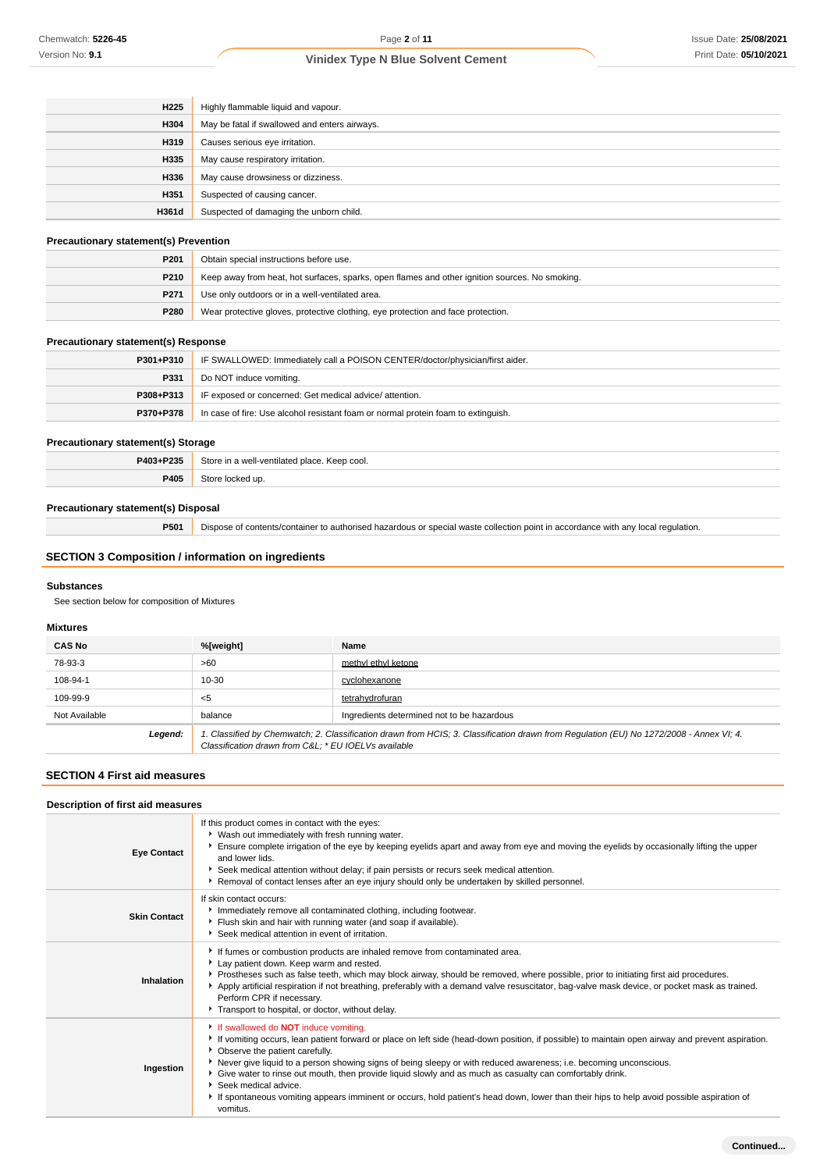| H <sub>225</sub> | Highly flammable liquid and vapour.           |  |  |
|------------------|-----------------------------------------------|--|--|
| H304             | May be fatal if swallowed and enters airways. |  |  |
| H319             | Causes serious eye irritation.                |  |  |
| H335             | May cause respiratory irritation.             |  |  |
| H336             | May cause drowsiness or dizziness.            |  |  |
| H351             | Suspected of causing cancer.                  |  |  |
| H361d            | Suspected of damaging the unborn child.       |  |  |

## **Precautionary statement(s) Prevention**

| $\cdots$         |                                                                                                |  |
|------------------|------------------------------------------------------------------------------------------------|--|
| P <sub>201</sub> | Obtain special instructions before use.                                                        |  |
| P <sub>210</sub> | Keep away from heat, hot surfaces, sparks, open flames and other ignition sources. No smoking. |  |
| P <sub>271</sub> | Use only outdoors or in a well-ventilated area.                                                |  |
| P280             | Wear protective gloves, protective clothing, eye protection and face protection.               |  |

## **Precautionary statement(s) Response**

| $P301 + P310$ | IF SWALLOWED: Immediately call a POISON CENTER/doctor/physician/first aider.      |  |
|---------------|-----------------------------------------------------------------------------------|--|
| P331          | Do NOT induce vomiting.                                                           |  |
| P308+P313     | IF exposed or concerned: Get medical advice/attention.                            |  |
| P370+P378     | In case of fire: Use alcohol resistant foam or normal protein foam to extinguish. |  |

## **Precautionary statement(s) Storage**

| P403+P235 | Store in a well-ventilated place. Keep cool. |  |
|-----------|----------------------------------------------|--|
| P405      | Store locked up.                             |  |

## **Precautionary statement(s) Disposal**

**P501** Dispose of contents/container to authorised hazardous or special waste collection point in accordance with any local regulation.

## **SECTION 3 Composition / information on ingredients**

### **Substances**

See section below for composition of Mixtures

### **Mixtures**

| <b>CAS No</b> | %[weight]                                                                                                                                                                                      | Name                                       |
|---------------|------------------------------------------------------------------------------------------------------------------------------------------------------------------------------------------------|--------------------------------------------|
| 78-93-3       | >60                                                                                                                                                                                            | methyl ethyl ketone                        |
| 108-94-1      | 10-30                                                                                                                                                                                          | cyclohexanone                              |
| 109-99-9      | $<$ 5                                                                                                                                                                                          | tetrahydrofuran                            |
| Not Available | balance                                                                                                                                                                                        | Ingredients determined not to be hazardous |
| Legend:       | 1. Classified by Chemwatch; 2. Classification drawn from HCIS; 3. Classification drawn from Regulation (EU) No 1272/2008 - Annex VI; 4.<br>Classification drawn from C&L * EU IOELVs available |                                            |

### **SECTION 4 First aid measures**

| Description of first aid measures |                                                                                                                                                                                                                                                                                                                                                                                                                                                                                                                                                                                                                                                        |
|-----------------------------------|--------------------------------------------------------------------------------------------------------------------------------------------------------------------------------------------------------------------------------------------------------------------------------------------------------------------------------------------------------------------------------------------------------------------------------------------------------------------------------------------------------------------------------------------------------------------------------------------------------------------------------------------------------|
| <b>Eye Contact</b>                | If this product comes in contact with the eyes:<br>V Wash out immediately with fresh running water.<br>Ensure complete irrigation of the eye by keeping eyelids apart and away from eye and moving the eyelids by occasionally lifting the upper<br>and lower lids.<br>Seek medical attention without delay; if pain persists or recurs seek medical attention.<br>▶ Removal of contact lenses after an eye injury should only be undertaken by skilled personnel.                                                                                                                                                                                     |
| <b>Skin Contact</b>               | If skin contact occurs:<br>Immediately remove all contaminated clothing, including footwear.<br>Flush skin and hair with running water (and soap if available).<br>Seek medical attention in event of irritation.                                                                                                                                                                                                                                                                                                                                                                                                                                      |
| Inhalation                        | If fumes or combustion products are inhaled remove from contaminated area.<br>Lay patient down. Keep warm and rested.<br>Prostheses such as false teeth, which may block airway, should be removed, where possible, prior to initiating first aid procedures.<br>Apply artificial respiration if not breathing, preferably with a demand valve resuscitator, bag-valve mask device, or pocket mask as trained.<br>Perform CPR if necessary.<br>Transport to hospital, or doctor, without delay.                                                                                                                                                        |
| Ingestion                         | If swallowed do <b>NOT</b> induce vomiting.<br>If vomiting occurs, lean patient forward or place on left side (head-down position, if possible) to maintain open airway and prevent aspiration.<br>• Observe the patient carefully.<br>▶ Never give liquid to a person showing signs of being sleepy or with reduced awareness; i.e. becoming unconscious.<br>Give water to rinse out mouth, then provide liquid slowly and as much as casualty can comfortably drink.<br>Seek medical advice.<br>If spontaneous vomiting appears imminent or occurs, hold patient's head down, lower than their hips to help avoid possible aspiration of<br>vomitus. |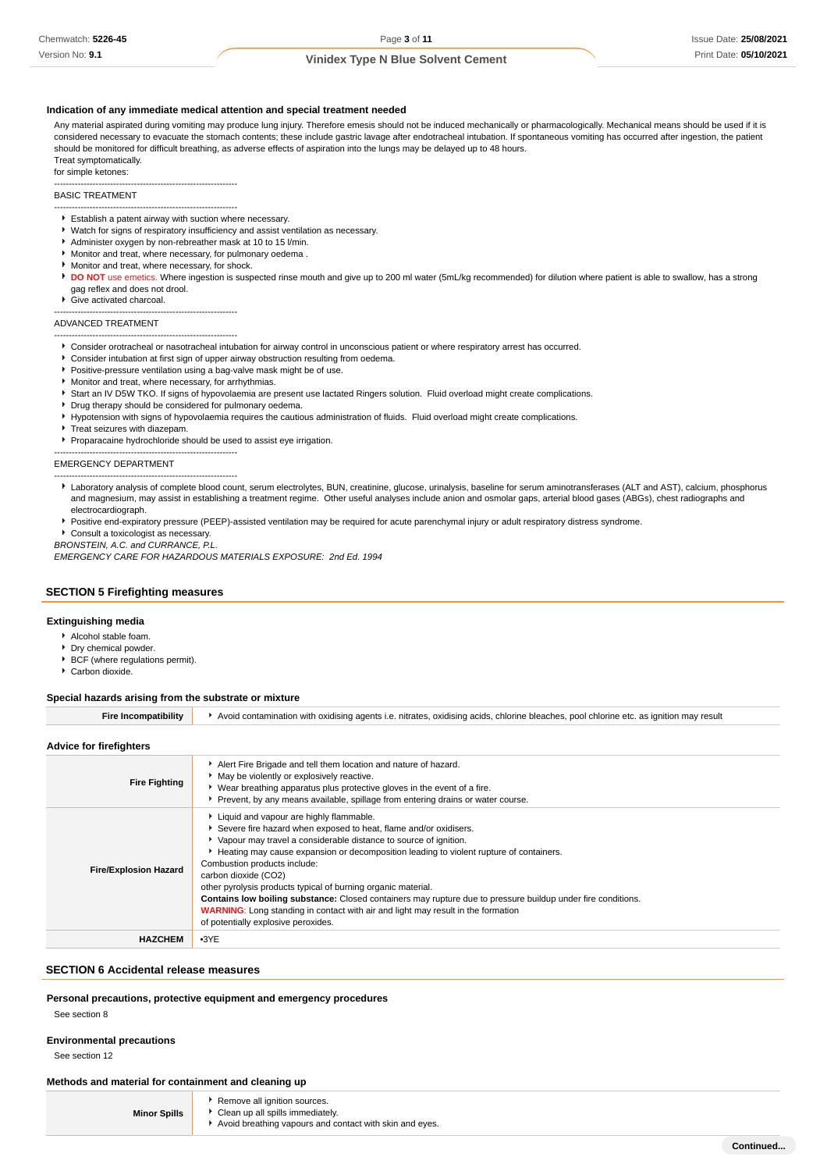Version No: **9.1**

## **Vinidex Type N Blue Solvent Cement**

#### **Indication of any immediate medical attention and special treatment needed**

Any material aspirated during vomiting may produce lung injury. Therefore emesis should not be induced mechanically or pharmacologically. Mechanical means should be used if it is considered necessary to evacuate the stomach contents; these include gastric lavage after endotracheal intubation. If spontaneous vomiting has occurred after ingestion, the patient should be monitored for difficult breathing, as adverse effects of aspiration into the lungs may be delayed up to 48 hours. Treat symptomatically.

for simple ketones:

--------------------------------------------------------------

## BASIC TREATMENT

- -------------------------------------------------------------- Establish a patent airway with suction where necessary.
- Watch for signs of respiratory insufficiency and assist ventilation as necessary.
- Administer oxygen by non-rebreather mask at 10 to 15 l/min.
- Monitor and treat, where necessary, for pulmonary oedema .
- Monitor and treat, where necessary, for shock.
- **DO NOT** use emetics. Where ingestion is suspected rinse mouth and give up to 200 ml water (5mL/kg recommended) for dilution where patient is able to swallow, has a strong gag reflex and does not drool.
- ▶ Give activated charcoal.
- --------------------------------------------------------------

#### ADVANCED TREATMENT --------------------------------------------------------------

- Consider orotracheal or nasotracheal intubation for airway control in unconscious patient or where respiratory arrest has occurred.
- Consider intubation at first sign of upper airway obstruction resulting from oedema.
- **Positive-pressure ventilation using a bag-valve mask might be of use.**
- Monitor and treat, where necessary, for arrhythmias.
- Start an IV D5W TKO. If signs of hypovolaemia are present use lactated Ringers solution. Fluid overload might create complications.
- Drug therapy should be considered for pulmonary oedema.
- Hypotension with signs of hypovolaemia requires the cautious administration of fluids. Fluid overload might create complications
- Treat seizures with diazepam

--------------------------------------------------------------

Proparacaine hydrochloride should be used to assist eye irrigation.

EMERGENCY DEPARTMENT

- -------------------------------------------------------------- Laboratory analysis of complete blood count, serum electrolytes, BUN, creatinine, glucose, urinalysis, baseline for serum aminotransferases (ALT and AST), calcium, phosphorus and magnesium, may assist in establishing a treatment regime. Other useful analyses include anion and osmolar gaps, arterial blood gases (ABGs), chest radiographs and electrocardiograph.
- Positive end-expiratory pressure (PEEP)-assisted ventilation may be required for acute parenchymal injury or adult respiratory distress syndrome.

Consult a toxicologist as necessary.

BRONSTEIN, A.C. and CURRANCE, P.L. EMERGENCY CARE FOR HAZARDOUS MATERIALS EXPOSURE: 2nd Ed. 1994

#### **SECTION 5 Firefighting measures**

#### **Extinguishing media**

- Alcohol stable foam.
- Dry chemical powder.
- BCF (where regulations permit).
- Carbon dioxide.

#### **Special hazards arising from the substrate or mixture**

| <b>Fire Incompatibility</b>  | Avoid contamination with oxidising agents i.e. nitrates, oxidising acids, chlorine bleaches, pool chlorine etc. as ignition may result                                                                                                                                                                                                                                                                                                                                                                                                                                                                                                               |
|------------------------------|------------------------------------------------------------------------------------------------------------------------------------------------------------------------------------------------------------------------------------------------------------------------------------------------------------------------------------------------------------------------------------------------------------------------------------------------------------------------------------------------------------------------------------------------------------------------------------------------------------------------------------------------------|
| Advice for firefighters      |                                                                                                                                                                                                                                                                                                                                                                                                                                                                                                                                                                                                                                                      |
| <b>Fire Fighting</b>         | Alert Fire Brigade and tell them location and nature of hazard.<br>• May be violently or explosively reactive.<br>Wear breathing apparatus plus protective gloves in the event of a fire.<br>Prevent, by any means available, spillage from entering drains or water course.                                                                                                                                                                                                                                                                                                                                                                         |
| <b>Fire/Explosion Hazard</b> | Liquid and vapour are highly flammable.<br>Severe fire hazard when exposed to heat, flame and/or oxidisers.<br>Vapour may travel a considerable distance to source of ignition.<br>Heating may cause expansion or decomposition leading to violent rupture of containers.<br>Combustion products include:<br>carbon dioxide (CO2)<br>other pyrolysis products typical of burning organic material.<br>Contains low boiling substance: Closed containers may rupture due to pressure buildup under fire conditions.<br><b>WARNING:</b> Long standing in contact with air and light may result in the formation<br>of potentially explosive peroxides. |
| <b>HAZCHEM</b>               | $-3YE$                                                                                                                                                                                                                                                                                                                                                                                                                                                                                                                                                                                                                                               |

#### **SECTION 6 Accidental release measures**

#### **Personal precautions, protective equipment and emergency procedures**

See section 8

#### **Environmental precautions**

See section 12

#### **Methods and material for containment and cleaning up**

| <b>Minor Spills</b> |
|---------------------|
|---------------------|

- Remove all ignition sources. Clean up all spills immediately.
- Avoid breathing vapours and contact with skin and eyes.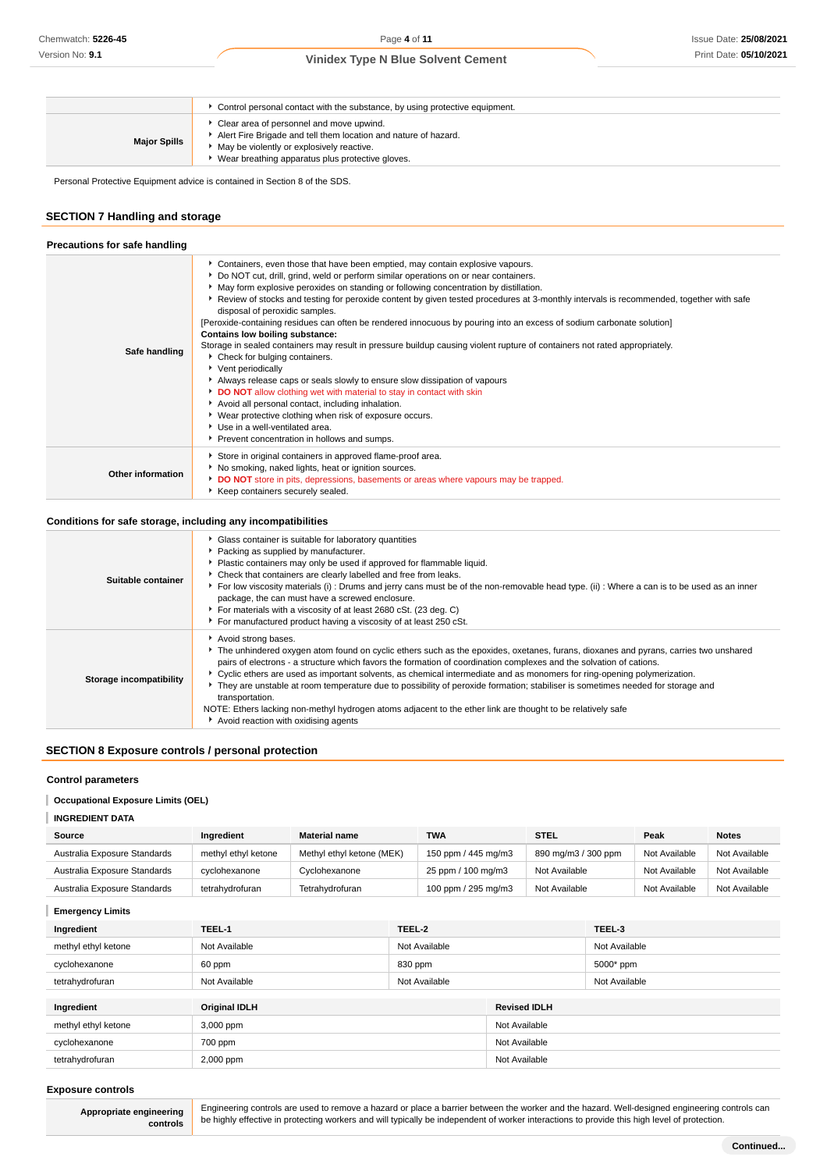|                     | Control personal contact with the substance, by using protective equipment.                                                                                                                                  |
|---------------------|--------------------------------------------------------------------------------------------------------------------------------------------------------------------------------------------------------------|
| <b>Major Spills</b> | Clear area of personnel and move upwind.<br>Alert Fire Brigade and tell them location and nature of hazard.<br>May be violently or explosively reactive.<br>Wear breathing apparatus plus protective gloves. |

Personal Protective Equipment advice is contained in Section 8 of the SDS.

## **SECTION 7 Handling and storage**

| Precautions for safe handling |                                                                                                                                                                                                                                                                                                                                                                                                                                                                                                                                                                                                                                                                                                                                                                                                                                                                                                                                                                                                                                                                                                                                                       |
|-------------------------------|-------------------------------------------------------------------------------------------------------------------------------------------------------------------------------------------------------------------------------------------------------------------------------------------------------------------------------------------------------------------------------------------------------------------------------------------------------------------------------------------------------------------------------------------------------------------------------------------------------------------------------------------------------------------------------------------------------------------------------------------------------------------------------------------------------------------------------------------------------------------------------------------------------------------------------------------------------------------------------------------------------------------------------------------------------------------------------------------------------------------------------------------------------|
| Safe handling                 | Containers, even those that have been emptied, may contain explosive vapours.<br>Do NOT cut, drill, grind, weld or perform similar operations on or near containers.<br>• May form explosive peroxides on standing or following concentration by distillation.<br>▶ Review of stocks and testing for peroxide content by given tested procedures at 3-monthly intervals is recommended, together with safe<br>disposal of peroxidic samples.<br>[Peroxide-containing residues can often be rendered innocuous by pouring into an excess of sodium carbonate solution]<br>Contains low boiling substance:<br>Storage in sealed containers may result in pressure buildup causing violent rupture of containers not rated appropriately.<br>Check for bulging containers.<br>Vent periodically<br>Always release caps or seals slowly to ensure slow dissipation of vapours<br>DO NOT allow clothing wet with material to stay in contact with skin<br>Avoid all personal contact, including inhalation.<br>▶ Wear protective clothing when risk of exposure occurs.<br>▶ Use in a well-ventilated area.<br>Prevent concentration in hollows and sumps. |
| <b>Other information</b>      | Store in original containers in approved flame-proof area.<br>No smoking, naked lights, heat or ignition sources.<br>DO NOT store in pits, depressions, basements or areas where vapours may be trapped.<br>Keep containers securely sealed.                                                                                                                                                                                                                                                                                                                                                                                                                                                                                                                                                                                                                                                                                                                                                                                                                                                                                                          |

## **Conditions for safe storage, including any incompatibilities**

| Suitable container      | • Glass container is suitable for laboratory quantities<br>Packing as supplied by manufacturer.<br>Plastic containers may only be used if approved for flammable liquid.<br>• Check that containers are clearly labelled and free from leaks.<br>For low viscosity materials (i): Drums and jerry cans must be of the non-removable head type. (ii): Where a can is to be used as an inner<br>package, the can must have a screwed enclosure.<br>For materials with a viscosity of at least 2680 cSt. (23 deg. C)                                                                                                                                                                                                          |
|-------------------------|----------------------------------------------------------------------------------------------------------------------------------------------------------------------------------------------------------------------------------------------------------------------------------------------------------------------------------------------------------------------------------------------------------------------------------------------------------------------------------------------------------------------------------------------------------------------------------------------------------------------------------------------------------------------------------------------------------------------------|
|                         | For manufactured product having a viscosity of at least 250 cSt.                                                                                                                                                                                                                                                                                                                                                                                                                                                                                                                                                                                                                                                           |
| Storage incompatibility | Avoid strong bases.<br>The unhindered oxygen atom found on cyclic ethers such as the epoxides, oxetanes, furans, dioxanes and pyrans, carries two unshared<br>pairs of electrons - a structure which favors the formation of coordination complexes and the solvation of cations.<br>▶ Cyclic ethers are used as important solvents, as chemical intermediate and as monomers for ring-opening polymerization.<br>They are unstable at room temperature due to possibility of peroxide formation; stabiliser is sometimes needed for storage and<br>transportation.<br>NOTE: Ethers lacking non-methyl hydrogen atoms adjacent to the ether link are thought to be relatively safe<br>Avoid reaction with oxidising agents |

## **SECTION 8 Exposure controls / personal protection**

### **Control parameters**

### **Occupational Exposure Limits (OEL)**

| <b>INGREDIENT DATA</b>       |                     |                           |                     |                     |               |               |
|------------------------------|---------------------|---------------------------|---------------------|---------------------|---------------|---------------|
| Source                       | Ingredient          | <b>Material name</b>      | <b>TWA</b>          | <b>STEL</b>         | Peak          | <b>Notes</b>  |
| Australia Exposure Standards | methyl ethyl ketone | Methyl ethyl ketone (MEK) | 150 ppm / 445 mg/m3 | 890 mg/m3 / 300 ppm | Not Available | Not Available |
| Australia Exposure Standards | cyclohexanone       | Cyclohexanone             | 25 ppm / 100 mg/m3  | Not Available       | Not Available | Not Available |
| Australia Exposure Standards | tetrahvdrofuran     | Tetrahydrofuran           | 100 ppm / 295 mg/m3 | Not Available       | Not Available | Not Available |

## **Emergency Limits**

| Ingredient          | TEEL-1               | TEEL-2        |                     | TEEL-3        |  |               |
|---------------------|----------------------|---------------|---------------------|---------------|--|---------------|
| methyl ethyl ketone | Not Available        | Not Available |                     |               |  | Not Available |
| cyclohexanone       | 60 ppm               | 830 ppm       |                     | 5000* ppm     |  |               |
| tetrahydrofuran     | Not Available        | Not Available |                     | Not Available |  |               |
|                     |                      |               |                     |               |  |               |
| Ingredient          | <b>Original IDLH</b> |               | <b>Revised IDLH</b> |               |  |               |
| methyl ethyl ketone | 3,000 ppm            |               | Not Available       |               |  |               |
| cyclohexanone       | 700 ppm              |               | Not Available       |               |  |               |
| tetrahydrofuran     | 2,000 ppm            |               | Not Available       |               |  |               |

### **Exposure controls**

**Appropriate engineering controls**

Engineering controls are used to remove a hazard or place a barrier between the worker and the hazard. Well-designed engineering controls can be highly effective in protecting workers and will typically be independent of worker interactions to provide this high level of protection.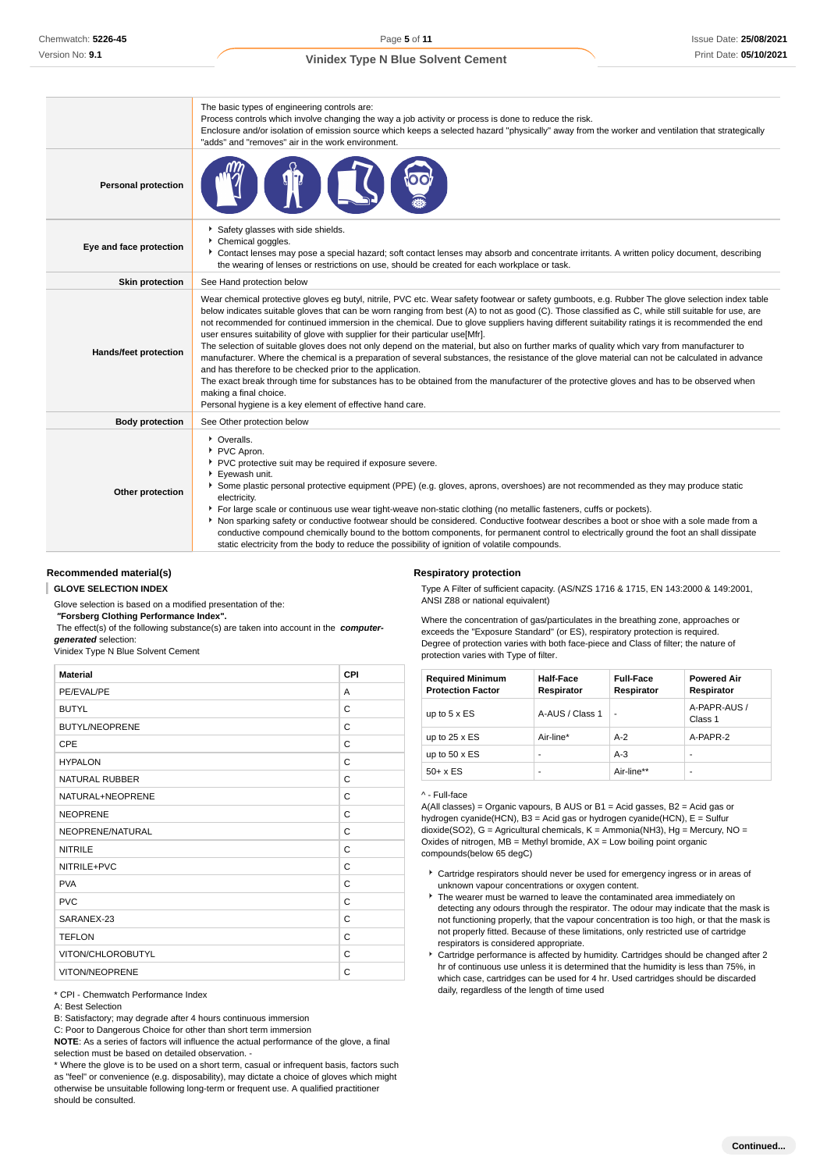|                              | The basic types of engineering controls are:<br>Process controls which involve changing the way a job activity or process is done to reduce the risk.<br>Enclosure and/or isolation of emission source which keeps a selected hazard "physically" away from the worker and ventilation that strategically<br>"adds" and "removes" air in the work environment.                                                                                                                                                                                                                                                                                                                                                                                                                                                                                                                                                                                                                                                                                                                                                                                |
|------------------------------|-----------------------------------------------------------------------------------------------------------------------------------------------------------------------------------------------------------------------------------------------------------------------------------------------------------------------------------------------------------------------------------------------------------------------------------------------------------------------------------------------------------------------------------------------------------------------------------------------------------------------------------------------------------------------------------------------------------------------------------------------------------------------------------------------------------------------------------------------------------------------------------------------------------------------------------------------------------------------------------------------------------------------------------------------------------------------------------------------------------------------------------------------|
| <b>Personal protection</b>   |                                                                                                                                                                                                                                                                                                                                                                                                                                                                                                                                                                                                                                                                                                                                                                                                                                                                                                                                                                                                                                                                                                                                               |
| Eye and face protection      | Safety glasses with side shields.<br>Chemical goggles.<br>▶ Contact lenses may pose a special hazard; soft contact lenses may absorb and concentrate irritants. A written policy document, describing<br>the wearing of lenses or restrictions on use, should be created for each workplace or task.                                                                                                                                                                                                                                                                                                                                                                                                                                                                                                                                                                                                                                                                                                                                                                                                                                          |
| <b>Skin protection</b>       | See Hand protection below                                                                                                                                                                                                                                                                                                                                                                                                                                                                                                                                                                                                                                                                                                                                                                                                                                                                                                                                                                                                                                                                                                                     |
| <b>Hands/feet protection</b> | Wear chemical protective gloves eg butyl, nitrile, PVC etc. Wear safety footwear or safety gumboots, e.g. Rubber The glove selection index table<br>below indicates suitable gloves that can be worn ranging from best (A) to not as good (C). Those classified as C, while still suitable for use, are<br>not recommended for continued immersion in the chemical. Due to glove suppliers having different suitability ratings it is recommended the end<br>user ensures suitability of glove with supplier for their particular use[Mfr].<br>The selection of suitable gloves does not only depend on the material, but also on further marks of quality which vary from manufacturer to<br>manufacturer. Where the chemical is a preparation of several substances, the resistance of the glove material can not be calculated in advance<br>and has therefore to be checked prior to the application.<br>The exact break through time for substances has to be obtained from the manufacturer of the protective gloves and has to be observed when<br>making a final choice.<br>Personal hygiene is a key element of effective hand care. |
| <b>Body protection</b>       | See Other protection below                                                                                                                                                                                                                                                                                                                                                                                                                                                                                                                                                                                                                                                                                                                                                                                                                                                                                                                                                                                                                                                                                                                    |
| Other protection             | • Overalls.<br>PVC Apron.<br>PVC protective suit may be required if exposure severe.<br>Eyewash unit.<br>Some plastic personal protective equipment (PPE) (e.g. gloves, aprons, overshoes) are not recommended as they may produce static<br>electricity.<br>For large scale or continuous use wear tight-weave non-static clothing (no metallic fasteners, cuffs or pockets).<br>Non sparking safety or conductive footwear should be considered. Conductive footwear describes a boot or shoe with a sole made from a<br>conductive compound chemically bound to the bottom components, for permanent control to electrically ground the foot an shall dissipate<br>static electricity from the body to reduce the possibility of ignition of volatile compounds                                                                                                                                                                                                                                                                                                                                                                            |

#### **Recommended material(s)**

**GLOVE SELECTION INDEX**

Glove selection is based on a modified presentation of the:

#### **Respiratory protection**

Type A Filter of sufficient capacity. (AS/NZS 1716 & 1715, EN 143:2000 & 149:2001, ANSI Z88 or national equivalent) Where the concentration of gas/particulates in the breathing zone, approaches or

 **"Forsberg Clothing Performance Index".**

 The effect(s) of the following substance(s) are taken into account in the **computergenerated** selection:

#### Vinidex Type N Blue Solvent Cement

| <b>Material</b>       | CPI |
|-----------------------|-----|
| PE/EVAL/PE            | A   |
| <b>BUTYL</b>          | C   |
| <b>BUTYL/NEOPRENE</b> | C   |
| CPE                   | C   |
| <b>HYPALON</b>        | C   |
| <b>NATURAL RUBBER</b> | C   |
| NATURAL+NEOPRENE      | C   |
| <b>NEOPRENE</b>       | C   |
| NEOPRENE/NATURAL      | C   |
| <b>NITRILE</b>        | C   |
| NITRILE+PVC           | C   |
| <b>PVA</b>            | C   |
| <b>PVC</b>            | C   |
| SARANEX-23            | C   |
| <b>TEFLON</b>         | C   |
| VITON/CHLOROBUTYL     | C   |
| VITON/NEOPRENE        | C   |

\* CPI - Chemwatch Performance Index

A: Best Selection

B: Satisfactory; may degrade after 4 hours continuous immersion

C: Poor to Dangerous Choice for other than short term immersion

**NOTE**: As a series of factors will influence the actual performance of the glove, a final selection must be based on detailed observation. -

\* Where the glove is to be used on a short term, casual or infrequent basis, factors such as "feel" or convenience (e.g. disposability), may dictate a choice of gloves which might otherwise be unsuitable following long-term or frequent use. A qualified practitioner should be consulted.

exceeds the "Exposure Standard" (or ES), respiratory protection is required. Degree of protection varies with both face-piece and Class of filter; the nature of protection varies with Type of filter.

| <b>Required Minimum</b><br><b>Protection Factor</b> | Half-Face<br>Respirator | <b>Full-Face</b><br>Respirator | <b>Powered Air</b><br>Respirator |
|-----------------------------------------------------|-------------------------|--------------------------------|----------------------------------|
| up to $5 \times ES$                                 | A-AUS / Class 1         | $\overline{a}$                 | A-PAPR-AUS /<br>Class 1          |
| up to $25 \times ES$                                | Air-line*               | $A-2$                          | A-PAPR-2                         |
| up to $50 \times ES$                                | -                       | $A-3$                          |                                  |
| $50+ x ES$                                          | ۰                       | Air-line**                     |                                  |

#### ^ - Full-face

A(All classes) = Organic vapours, B AUS or B1 = Acid gasses, B2 = Acid gas or hydrogen cyanide(HCN), B3 = Acid gas or hydrogen cyanide(HCN), E = Sulfur dioxide(SO2), G = Agricultural chemicals, K = Ammonia(NH3), Hg = Mercury, NO = Oxides of nitrogen,  $MB =$  Methyl bromide,  $AX =$  Low boiling point organic compounds(below 65 degC)

- Cartridge respirators should never be used for emergency ingress or in areas of unknown vapour concentrations or oxygen content.
- $\triangleright$  The wearer must be warned to leave the contaminated area immediately on detecting any odours through the respirator. The odour may indicate that the mask is not functioning properly, that the vapour concentration is too high, or that the mask is not properly fitted. Because of these limitations, only restricted use of cartridge respirators is considered appropriate.
- Cartridge performance is affected by humidity. Cartridges should be changed after 2 hr of continuous use unless it is determined that the humidity is less than 75%, in which case, cartridges can be used for 4 hr. Used cartridges should be discarded daily, regardless of the length of time used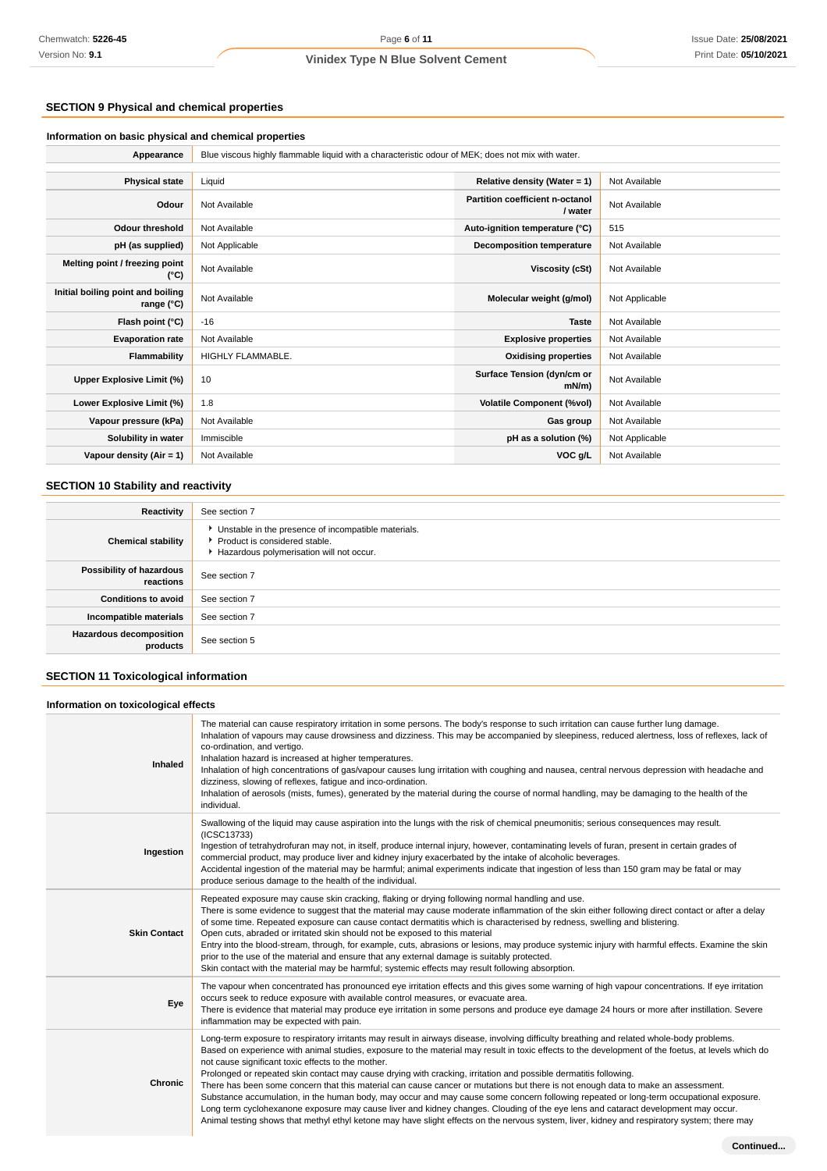## **SECTION 9 Physical and chemical properties**

## **Information on basic physical and chemical properties**

| Appearance                                      | Blue viscous highly flammable liquid with a characteristic odour of MEK; does not mix with water. |                                            |                |  |
|-------------------------------------------------|---------------------------------------------------------------------------------------------------|--------------------------------------------|----------------|--|
|                                                 |                                                                                                   |                                            |                |  |
| <b>Physical state</b>                           | Liquid                                                                                            | Relative density (Water = $1$ )            | Not Available  |  |
| Odour                                           | Not Available                                                                                     | Partition coefficient n-octanol<br>/ water | Not Available  |  |
| <b>Odour threshold</b>                          | Not Available                                                                                     | Auto-ignition temperature (°C)             | 515            |  |
| pH (as supplied)                                | Not Applicable                                                                                    | <b>Decomposition temperature</b>           | Not Available  |  |
| Melting point / freezing point<br>(°C)          | Not Available                                                                                     | Viscosity (cSt)                            | Not Available  |  |
| Initial boiling point and boiling<br>range (°C) | Not Available                                                                                     | Molecular weight (g/mol)                   | Not Applicable |  |
| Flash point (°C)                                | $-16$                                                                                             | <b>Taste</b>                               | Not Available  |  |
| <b>Evaporation rate</b>                         | Not Available                                                                                     | <b>Explosive properties</b>                | Not Available  |  |
| Flammability                                    | HIGHLY FLAMMABLE.                                                                                 | <b>Oxidising properties</b>                | Not Available  |  |
| Upper Explosive Limit (%)                       | 10                                                                                                | Surface Tension (dyn/cm or<br>$mN/m$ )     | Not Available  |  |
| Lower Explosive Limit (%)                       | 1.8                                                                                               | <b>Volatile Component (%vol)</b>           | Not Available  |  |
| Vapour pressure (kPa)                           | Not Available                                                                                     | Gas group                                  | Not Available  |  |
| Solubility in water                             | Immiscible                                                                                        | pH as a solution (%)                       | Not Applicable |  |
| Vapour density (Air = 1)                        | Not Available                                                                                     | VOC g/L                                    | Not Available  |  |

## **SECTION 10 Stability and reactivity**

| Reactivity                                 | See section 7                                                                                                                        |  |  |
|--------------------------------------------|--------------------------------------------------------------------------------------------------------------------------------------|--|--|
| <b>Chemical stability</b>                  | • Unstable in the presence of incompatible materials.<br>▶ Product is considered stable.<br>Hazardous polymerisation will not occur. |  |  |
| Possibility of hazardous<br>reactions      | See section 7                                                                                                                        |  |  |
| <b>Conditions to avoid</b>                 | See section 7                                                                                                                        |  |  |
| Incompatible materials                     | See section 7                                                                                                                        |  |  |
| <b>Hazardous decomposition</b><br>products | See section 5                                                                                                                        |  |  |

## **SECTION 11 Toxicological information**

## **Information on toxicological effects**

| Inhaled             | The material can cause respiratory irritation in some persons. The body's response to such irritation can cause further lung damage.<br>Inhalation of vapours may cause drowsiness and dizziness. This may be accompanied by sleepiness, reduced alertness, loss of reflexes, lack of<br>co-ordination, and vertigo.<br>Inhalation hazard is increased at higher temperatures.<br>Inhalation of high concentrations of gas/vapour causes lung irritation with coughing and nausea, central nervous depression with headache and<br>dizziness, slowing of reflexes, fatigue and inco-ordination.<br>Inhalation of aerosols (mists, fumes), generated by the material during the course of normal handling, may be damaging to the health of the<br>individual.                                                                                                                                                                                                                                                                                 |
|---------------------|-----------------------------------------------------------------------------------------------------------------------------------------------------------------------------------------------------------------------------------------------------------------------------------------------------------------------------------------------------------------------------------------------------------------------------------------------------------------------------------------------------------------------------------------------------------------------------------------------------------------------------------------------------------------------------------------------------------------------------------------------------------------------------------------------------------------------------------------------------------------------------------------------------------------------------------------------------------------------------------------------------------------------------------------------|
| Ingestion           | Swallowing of the liquid may cause aspiration into the lungs with the risk of chemical pneumonitis; serious consequences may result.<br>(ICSC13733)<br>Ingestion of tetrahydrofuran may not, in itself, produce internal injury, however, contaminating levels of furan, present in certain grades of<br>commercial product, may produce liver and kidney injury exacerbated by the intake of alcoholic beverages.<br>Accidental ingestion of the material may be harmful; animal experiments indicate that ingestion of less than 150 gram may be fatal or may<br>produce serious damage to the health of the individual.                                                                                                                                                                                                                                                                                                                                                                                                                    |
| <b>Skin Contact</b> | Repeated exposure may cause skin cracking, flaking or drying following normal handling and use.<br>There is some evidence to suggest that the material may cause moderate inflammation of the skin either following direct contact or after a delay<br>of some time. Repeated exposure can cause contact dermatitis which is characterised by redness, swelling and blistering.<br>Open cuts, abraded or irritated skin should not be exposed to this material<br>Entry into the blood-stream, through, for example, cuts, abrasions or lesions, may produce systemic injury with harmful effects. Examine the skin<br>prior to the use of the material and ensure that any external damage is suitably protected.<br>Skin contact with the material may be harmful; systemic effects may result following absorption.                                                                                                                                                                                                                        |
| Eye                 | The vapour when concentrated has pronounced eye irritation effects and this gives some warning of high vapour concentrations. If eye irritation<br>occurs seek to reduce exposure with available control measures, or evacuate area.<br>There is evidence that material may produce eye irritation in some persons and produce eye damage 24 hours or more after instillation. Severe<br>inflammation may be expected with pain.                                                                                                                                                                                                                                                                                                                                                                                                                                                                                                                                                                                                              |
| Chronic             | Long-term exposure to respiratory irritants may result in airways disease, involving difficulty breathing and related whole-body problems.<br>Based on experience with animal studies, exposure to the material may result in toxic effects to the development of the foetus, at levels which do<br>not cause significant toxic effects to the mother.<br>Prolonged or repeated skin contact may cause drying with cracking, irritation and possible dermatitis following.<br>There has been some concern that this material can cause cancer or mutations but there is not enough data to make an assessment.<br>Substance accumulation, in the human body, may occur and may cause some concern following repeated or long-term occupational exposure.<br>Long term cyclohexanone exposure may cause liver and kidney changes. Clouding of the eye lens and cataract development may occur.<br>Animal testing shows that methyl ethyl ketone may have slight effects on the nervous system, liver, kidney and respiratory system; there may |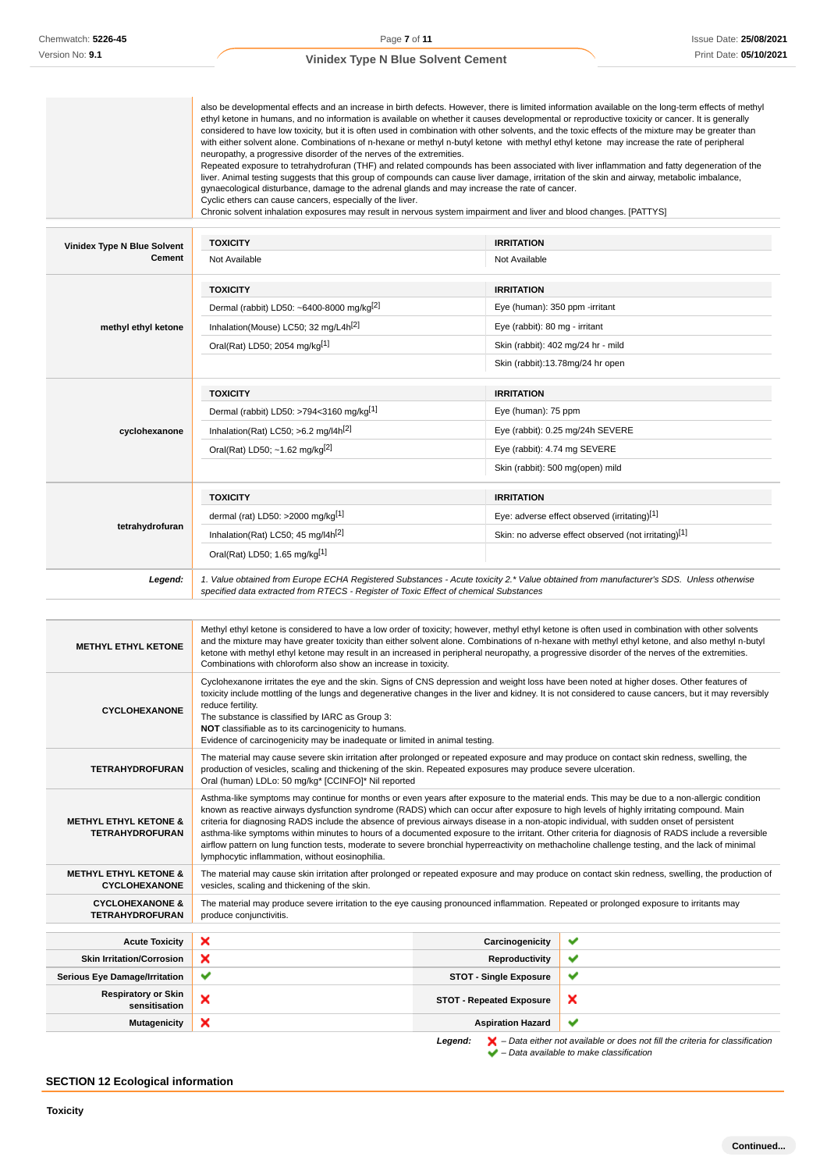|                                    | also be developmental effects and an increase in birth defects. However, there is limited information available on the long-term effects of methyl<br>ethyl ketone in humans, and no information is available on whether it causes developmental or reproductive toxicity or cancer. It is generally<br>considered to have low toxicity, but it is often used in combination with other solvents, and the toxic effects of the mixture may be greater than<br>with either solvent alone. Combinations of n-hexane or methyl n-butyl ketone with methyl ethyl ketone may increase the rate of peripheral<br>neuropathy, a progressive disorder of the nerves of the extremities.<br>Repeated exposure to tetrahydrofuran (THF) and related compounds has been associated with liver inflammation and fatty degeneration of the<br>liver. Animal testing suggests that this group of compounds can cause liver damage, irritation of the skin and airway, metabolic imbalance,<br>gynaecological disturbance, damage to the adrenal glands and may increase the rate of cancer.<br>Cyclic ethers can cause cancers, especially of the liver.<br>Chronic solvent inhalation exposures may result in nervous system impairment and liver and blood changes. [PATTYS] |                                                      |  |  |
|------------------------------------|------------------------------------------------------------------------------------------------------------------------------------------------------------------------------------------------------------------------------------------------------------------------------------------------------------------------------------------------------------------------------------------------------------------------------------------------------------------------------------------------------------------------------------------------------------------------------------------------------------------------------------------------------------------------------------------------------------------------------------------------------------------------------------------------------------------------------------------------------------------------------------------------------------------------------------------------------------------------------------------------------------------------------------------------------------------------------------------------------------------------------------------------------------------------------------------------------------------------------------------------------------------|------------------------------------------------------|--|--|
| <b>Vinidex Type N Blue Solvent</b> | <b>TOXICITY</b>                                                                                                                                                                                                                                                                                                                                                                                                                                                                                                                                                                                                                                                                                                                                                                                                                                                                                                                                                                                                                                                                                                                                                                                                                                                  | <b>IRRITATION</b>                                    |  |  |
| <b>Cement</b>                      | Not Available                                                                                                                                                                                                                                                                                                                                                                                                                                                                                                                                                                                                                                                                                                                                                                                                                                                                                                                                                                                                                                                                                                                                                                                                                                                    | Not Available                                        |  |  |
|                                    | <b>TOXICITY</b>                                                                                                                                                                                                                                                                                                                                                                                                                                                                                                                                                                                                                                                                                                                                                                                                                                                                                                                                                                                                                                                                                                                                                                                                                                                  | <b>IRRITATION</b>                                    |  |  |
|                                    | Dermal (rabbit) LD50: ~6400-8000 mg/kg <sup>[2]</sup>                                                                                                                                                                                                                                                                                                                                                                                                                                                                                                                                                                                                                                                                                                                                                                                                                                                                                                                                                                                                                                                                                                                                                                                                            | Eye (human): 350 ppm -irritant                       |  |  |
| methyl ethyl ketone                | Inhalation(Mouse) LC50; 32 mg/L4h <sup>[2]</sup>                                                                                                                                                                                                                                                                                                                                                                                                                                                                                                                                                                                                                                                                                                                                                                                                                                                                                                                                                                                                                                                                                                                                                                                                                 | Eye (rabbit): 80 mg - irritant                       |  |  |
|                                    | Oral(Rat) LD50; 2054 mg/kg[1]                                                                                                                                                                                                                                                                                                                                                                                                                                                                                                                                                                                                                                                                                                                                                                                                                                                                                                                                                                                                                                                                                                                                                                                                                                    | Skin (rabbit): 402 mg/24 hr - mild                   |  |  |
|                                    |                                                                                                                                                                                                                                                                                                                                                                                                                                                                                                                                                                                                                                                                                                                                                                                                                                                                                                                                                                                                                                                                                                                                                                                                                                                                  | Skin (rabbit):13.78mg/24 hr open                     |  |  |
|                                    | <b>TOXICITY</b>                                                                                                                                                                                                                                                                                                                                                                                                                                                                                                                                                                                                                                                                                                                                                                                                                                                                                                                                                                                                                                                                                                                                                                                                                                                  | <b>IRRITATION</b>                                    |  |  |
|                                    | Dermal (rabbit) LD50: >794<3160 mg/kg[1]                                                                                                                                                                                                                                                                                                                                                                                                                                                                                                                                                                                                                                                                                                                                                                                                                                                                                                                                                                                                                                                                                                                                                                                                                         | Eye (human): 75 ppm                                  |  |  |
| cyclohexanone                      | Inhalation(Rat) LC50; $>6.2$ mg/l4h <sup>[2]</sup>                                                                                                                                                                                                                                                                                                                                                                                                                                                                                                                                                                                                                                                                                                                                                                                                                                                                                                                                                                                                                                                                                                                                                                                                               | Eye (rabbit): 0.25 mg/24h SEVERE                     |  |  |
|                                    | Oral(Rat) LD50; ~1.62 mg/kg <sup>[2]</sup>                                                                                                                                                                                                                                                                                                                                                                                                                                                                                                                                                                                                                                                                                                                                                                                                                                                                                                                                                                                                                                                                                                                                                                                                                       | Eye (rabbit): 4.74 mg SEVERE                         |  |  |
|                                    |                                                                                                                                                                                                                                                                                                                                                                                                                                                                                                                                                                                                                                                                                                                                                                                                                                                                                                                                                                                                                                                                                                                                                                                                                                                                  | Skin (rabbit): 500 mg(open) mild                     |  |  |
|                                    | <b>TOXICITY</b>                                                                                                                                                                                                                                                                                                                                                                                                                                                                                                                                                                                                                                                                                                                                                                                                                                                                                                                                                                                                                                                                                                                                                                                                                                                  | <b>IRRITATION</b>                                    |  |  |
|                                    | dermal (rat) LD50: >2000 mg/kg[1]                                                                                                                                                                                                                                                                                                                                                                                                                                                                                                                                                                                                                                                                                                                                                                                                                                                                                                                                                                                                                                                                                                                                                                                                                                | Eye: adverse effect observed (irritating)[1]         |  |  |
| tetrahydrofuran                    | Inhalation(Rat) LC50; 45 mg/l4h <sup>[2]</sup>                                                                                                                                                                                                                                                                                                                                                                                                                                                                                                                                                                                                                                                                                                                                                                                                                                                                                                                                                                                                                                                                                                                                                                                                                   | Skin: no adverse effect observed (not irritating)[1] |  |  |
|                                    | Oral(Rat) LD50; 1.65 mg/kg[1]                                                                                                                                                                                                                                                                                                                                                                                                                                                                                                                                                                                                                                                                                                                                                                                                                                                                                                                                                                                                                                                                                                                                                                                                                                    |                                                      |  |  |
| Legend:                            | 1. Value obtained from Europe ECHA Registered Substances - Acute toxicity 2.* Value obtained from manufacturer's SDS. Unless otherwise<br>specified data extracted from RTECS - Register of Toxic Effect of chemical Substances                                                                                                                                                                                                                                                                                                                                                                                                                                                                                                                                                                                                                                                                                                                                                                                                                                                                                                                                                                                                                                  |                                                      |  |  |

| <b>METHYL ETHYL KETONE</b>                                 | Methyl ethyl ketone is considered to have a low order of toxicity; however, methyl ethyl ketone is often used in combination with other solvents<br>and the mixture may have greater toxicity than either solvent alone. Combinations of n-hexane with methyl ethyl ketone, and also methyl n-butyl<br>ketone with methyl ethyl ketone may result in an increased in peripheral neuropathy, a progressive disorder of the nerves of the extremities.<br>Combinations with chloroform also show an increase in toxicity.                                                                                                                                                                                                                                                                      |                                 |                           |  |  |  |  |
|------------------------------------------------------------|----------------------------------------------------------------------------------------------------------------------------------------------------------------------------------------------------------------------------------------------------------------------------------------------------------------------------------------------------------------------------------------------------------------------------------------------------------------------------------------------------------------------------------------------------------------------------------------------------------------------------------------------------------------------------------------------------------------------------------------------------------------------------------------------|---------------------------------|---------------------------|--|--|--|--|
| <b>CYCLOHEXANONE</b>                                       | Cyclohexanone irritates the eye and the skin. Signs of CNS depression and weight loss have been noted at higher doses. Other features of<br>toxicity include mottling of the lungs and degenerative changes in the liver and kidney. It is not considered to cause cancers, but it may reversibly<br>reduce fertility.<br>The substance is classified by IARC as Group 3:<br>NOT classifiable as to its carcinogenicity to humans.<br>Evidence of carcinogenicity may be inadequate or limited in animal testing.                                                                                                                                                                                                                                                                            |                                 |                           |  |  |  |  |
| <b>TETRAHYDROFURAN</b>                                     | The material may cause severe skin irritation after prolonged or repeated exposure and may produce on contact skin redness, swelling, the<br>production of vesicles, scaling and thickening of the skin. Repeated exposures may produce severe ulceration.<br>Oral (human) LDLo: 50 mg/kg* [CCINFO]* Nil reported                                                                                                                                                                                                                                                                                                                                                                                                                                                                            |                                 |                           |  |  |  |  |
| <b>METHYL ETHYL KETONE &amp;</b><br><b>TETRAHYDROFURAN</b> | Asthma-like symptoms may continue for months or even years after exposure to the material ends. This may be due to a non-allergic condition<br>known as reactive airways dysfunction syndrome (RADS) which can occur after exposure to high levels of highly irritating compound. Main<br>criteria for diagnosing RADS include the absence of previous airways disease in a non-atopic individual, with sudden onset of persistent<br>asthma-like symptoms within minutes to hours of a documented exposure to the irritant. Other criteria for diagnosis of RADS include a reversible<br>airflow pattern on lung function tests, moderate to severe bronchial hyperreactivity on methacholine challenge testing, and the lack of minimal<br>lymphocytic inflammation, without eosinophilia. |                                 |                           |  |  |  |  |
| <b>METHYL ETHYL KETONE &amp;</b><br><b>CYCLOHEXANONE</b>   | The material may cause skin irritation after prolonged or repeated exposure and may produce on contact skin redness, swelling, the production of<br>vesicles, scaling and thickening of the skin.                                                                                                                                                                                                                                                                                                                                                                                                                                                                                                                                                                                            |                                 |                           |  |  |  |  |
| <b>CYCLOHEXANONE &amp;</b><br><b>TETRAHYDROFURAN</b>       | The material may produce severe irritation to the eye causing pronounced inflammation. Repeated or prolonged exposure to irritants may<br>produce conjunctivitis.                                                                                                                                                                                                                                                                                                                                                                                                                                                                                                                                                                                                                            |                                 |                           |  |  |  |  |
| <b>Acute Toxicity</b>                                      | $\boldsymbol{\mathsf{x}}$                                                                                                                                                                                                                                                                                                                                                                                                                                                                                                                                                                                                                                                                                                                                                                    | Carcinogenicity                 | ✔                         |  |  |  |  |
| <b>Skin Irritation/Corrosion</b>                           | ×                                                                                                                                                                                                                                                                                                                                                                                                                                                                                                                                                                                                                                                                                                                                                                                            | Reproductivity                  | ✔                         |  |  |  |  |
| <b>Serious Eye Damage/Irritation</b>                       | ✔                                                                                                                                                                                                                                                                                                                                                                                                                                                                                                                                                                                                                                                                                                                                                                                            | <b>STOT - Single Exposure</b>   | ✔                         |  |  |  |  |
| <b>Respiratory or Skin</b><br>sensitisation                | ×                                                                                                                                                                                                                                                                                                                                                                                                                                                                                                                                                                                                                                                                                                                                                                                            | <b>STOT - Repeated Exposure</b> | $\boldsymbol{\mathsf{x}}$ |  |  |  |  |
| <b>Mutagenicity</b>                                        | ×<br>✔<br><b>Aspiration Hazard</b>                                                                                                                                                                                                                                                                                                                                                                                                                                                                                                                                                                                                                                                                                                                                                           |                                 |                           |  |  |  |  |

**Legend:**  $\mathbf{X}$  – Data either not available or does not fill the criteria for classification

– Data available to make classification

## **SECTION 12 Ecological information**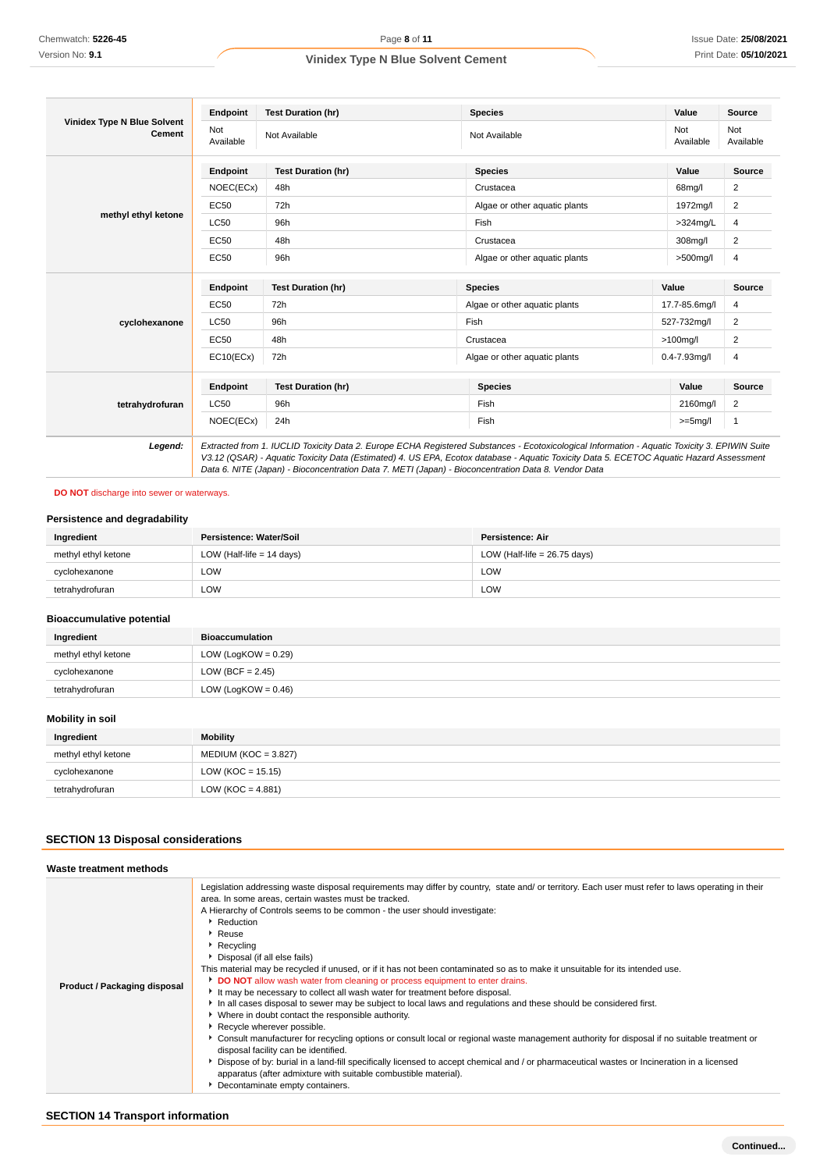|                                                     | Endpoint         | <b>Test Duration (hr)</b> | <b>Species</b>                | Value             | <b>Source</b>    |
|-----------------------------------------------------|------------------|---------------------------|-------------------------------|-------------------|------------------|
| <b>Vinidex Type N Blue Solvent</b><br><b>Cement</b> | Not<br>Available | Not Available             | Not Available                 | Not<br>Available  | Not<br>Available |
|                                                     | Endpoint         | <b>Test Duration (hr)</b> | <b>Species</b>                | Value             | Source           |
|                                                     | NOEC(ECx)        | 48h                       | Crustacea                     | 68mg/l            | 2                |
|                                                     | EC50             | 72h                       | Algae or other aquatic plants | 1972mg/l          | 2                |
| methyl ethyl ketone                                 | <b>LC50</b>      | 96h                       | Fish                          | $>324$ mg/L       | 4                |
|                                                     | EC50             | 48h                       | Crustacea                     | 308mg/l           | $\overline{2}$   |
|                                                     | EC50             | 96h                       | Algae or other aquatic plants | $>500$ mg/l       | 4                |
|                                                     | Endpoint         | <b>Test Duration (hr)</b> | <b>Species</b>                | Value             | Source           |
|                                                     | EC50             | 72h                       | Algae or other aquatic plants | 17.7-85.6mg/l     | 4                |
| cyclohexanone                                       | <b>LC50</b>      | 96h                       | Fish                          | 527-732mg/l       | $\overline{2}$   |
|                                                     | <b>EC50</b>      | 48h                       | Crustacea                     | $>100$ mg/l       | 2                |
|                                                     | EC10(ECx)        | 72h                       | Algae or other aquatic plants | $0.4 - 7.93$ mg/l | 4                |
|                                                     | Endpoint         | <b>Test Duration (hr)</b> | <b>Species</b>                | Value             | Source           |
| tetrahydrofuran                                     | <b>LC50</b>      | 96h                       | Fish                          | 2160mg/l          | $\overline{2}$   |
|                                                     | NOEC(ECx)        | 24h                       | Fish                          | $>=5mg/l$         | $\mathbf{1}$     |

## **DO NOT** discharge into sewer or waterways.

### **Persistence and degradability**

| Persistence: Water/Soil<br>Ingredient |                             | Persistence: Air               |  |
|---------------------------------------|-----------------------------|--------------------------------|--|
| methyl ethyl ketone                   | LOW (Half-life $= 14$ days) | LOW (Half-life = $26.75$ days) |  |
| cyclohexanone                         | LOW                         | LOW                            |  |
| tetrahvdrofuran                       | LOW                         | LOW                            |  |

## **Bioaccumulative potential**

| Ingredient          | <b>Bioaccumulation</b> |
|---------------------|------------------------|
| methyl ethyl ketone | LOW (LogKOW = $0.29$ ) |
| cyclohexanone       | LOW (BCF = $2.45$ )    |
| tetrahydrofuran     | LOW (LogKOW = $0.46$ ) |

## **Mobility in soil**

| Ingredient          | <b>Mobility</b>        |
|---------------------|------------------------|
| methyl ethyl ketone | $MEDIUM (KOC = 3.827)$ |
| cyclohexanone       | LOW (KOC = $15.15$ )   |
| tetrahydrofuran     | LOW (KOC = $4.881$ )   |

## **SECTION 13 Disposal considerations**

| Waste treatment methods      |                                                                                                                                                                                                                                                                                                                                                                                                                                                                                                                                                                                                                                                                                                                                                                                                                                                                                                                                                                                                                                                                                                                                                                                                                                                                                                                                             |
|------------------------------|---------------------------------------------------------------------------------------------------------------------------------------------------------------------------------------------------------------------------------------------------------------------------------------------------------------------------------------------------------------------------------------------------------------------------------------------------------------------------------------------------------------------------------------------------------------------------------------------------------------------------------------------------------------------------------------------------------------------------------------------------------------------------------------------------------------------------------------------------------------------------------------------------------------------------------------------------------------------------------------------------------------------------------------------------------------------------------------------------------------------------------------------------------------------------------------------------------------------------------------------------------------------------------------------------------------------------------------------|
| Product / Packaging disposal | Legislation addressing waste disposal requirements may differ by country, state and/ or territory. Each user must refer to laws operating in their<br>area. In some areas, certain wastes must be tracked.<br>A Hierarchy of Controls seems to be common - the user should investigate:<br>Reduction<br>$\triangleright$ Reuse<br>Recycling<br>Disposal (if all else fails)<br>This material may be recycled if unused, or if it has not been contaminated so as to make it unsuitable for its intended use.<br><b>DO NOT</b> allow wash water from cleaning or process equipment to enter drains.<br>It may be necessary to collect all wash water for treatment before disposal.<br>In all cases disposal to sewer may be subject to local laws and regulations and these should be considered first.<br>• Where in doubt contact the responsible authority.<br>Recycle wherever possible.<br>► Consult manufacturer for recycling options or consult local or regional waste management authority for disposal if no suitable treatment or<br>disposal facility can be identified.<br>> Dispose of by: burial in a land-fill specifically licensed to accept chemical and / or pharmaceutical wastes or Incineration in a licensed<br>apparatus (after admixture with suitable combustible material).<br>Decontaminate empty containers. |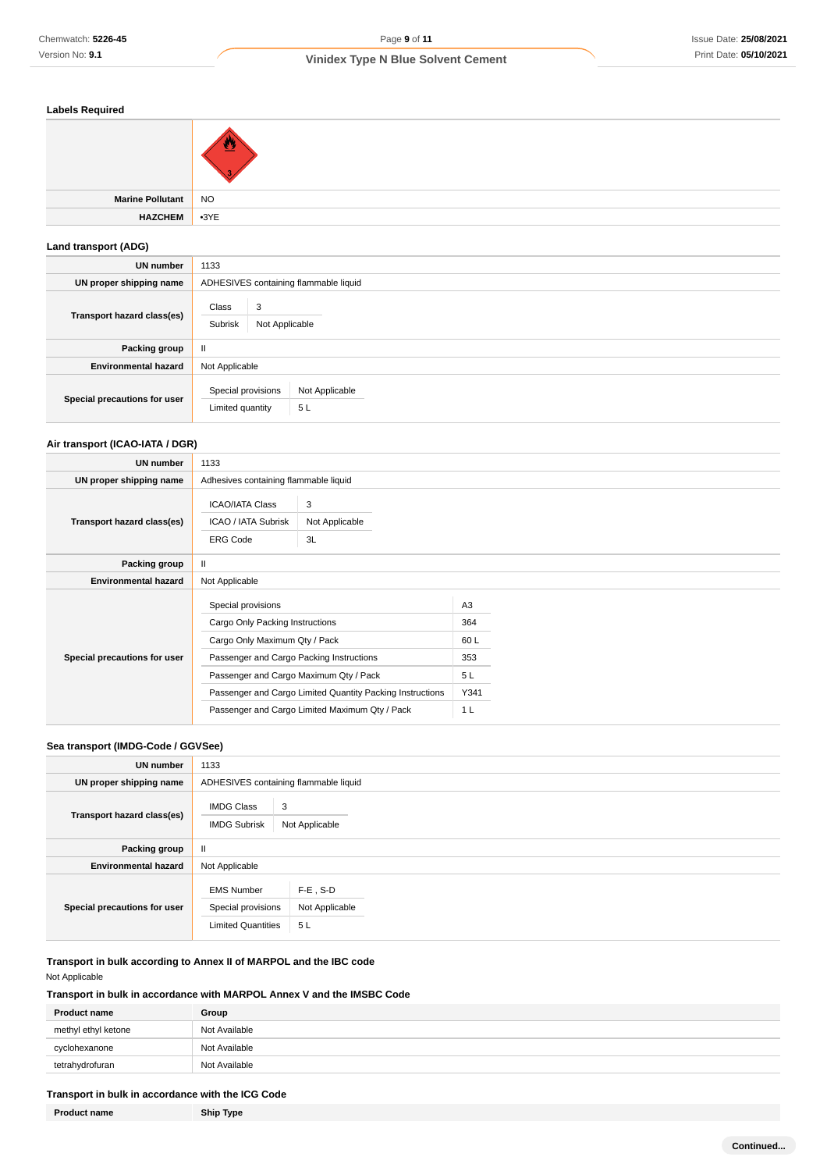### **Labels Required**

| e Pollutant    | <b>NO</b> |
|----------------|-----------|
| <b>HAZCHEM</b> | $-3YE$    |

## **Land transport (ADG)**

**Marine** 

| UN number                    | 1133                                                           |  |  |  |
|------------------------------|----------------------------------------------------------------|--|--|--|
| UN proper shipping name      | ADHESIVES containing flammable liquid                          |  |  |  |
| Transport hazard class(es)   | Class<br>3<br>Subrisk<br>Not Applicable                        |  |  |  |
| Packing group                | Ш                                                              |  |  |  |
| <b>Environmental hazard</b>  | Not Applicable                                                 |  |  |  |
| Special precautions for user | Special provisions<br>Not Applicable<br>Limited quantity<br>5L |  |  |  |

## **Air transport (ICAO-IATA / DGR)**

| <b>UN number</b>             | 1133                                                                                                                                                                                                                                                                                        |                           |                                                          |  |
|------------------------------|---------------------------------------------------------------------------------------------------------------------------------------------------------------------------------------------------------------------------------------------------------------------------------------------|---------------------------|----------------------------------------------------------|--|
| UN proper shipping name      | Adhesives containing flammable liquid                                                                                                                                                                                                                                                       |                           |                                                          |  |
| Transport hazard class(es)   | <b>ICAO/IATA Class</b><br>ICAO / IATA Subrisk<br><b>ERG Code</b>                                                                                                                                                                                                                            | 3<br>Not Applicable<br>3L |                                                          |  |
| Packing group                | $\mathbf{I}$                                                                                                                                                                                                                                                                                |                           |                                                          |  |
| <b>Environmental hazard</b>  | Not Applicable                                                                                                                                                                                                                                                                              |                           |                                                          |  |
| Special precautions for user | Special provisions<br>Cargo Only Packing Instructions<br>Cargo Only Maximum Qty / Pack<br>Passenger and Cargo Packing Instructions<br>Passenger and Cargo Maximum Qty / Pack<br>Passenger and Cargo Limited Quantity Packing Instructions<br>Passenger and Cargo Limited Maximum Qty / Pack |                           | A <sub>3</sub><br>364<br>60L<br>353<br>5L<br>Y341<br>1 L |  |

## **Sea transport (IMDG-Code / GGVSee)**

| <b>UN number</b>             | 1133                                                                 |                                     |  |
|------------------------------|----------------------------------------------------------------------|-------------------------------------|--|
| UN proper shipping name      | ADHESIVES containing flammable liquid                                |                                     |  |
| Transport hazard class(es)   | 3<br><b>IMDG Class</b><br><b>IMDG Subrisk</b><br>Not Applicable      |                                     |  |
| Packing group                | $\mathbf{H}$                                                         |                                     |  |
| <b>Environmental hazard</b>  | Not Applicable                                                       |                                     |  |
| Special precautions for user | <b>EMS Number</b><br>Special provisions<br><b>Limited Quantities</b> | $F-E$ , S-D<br>Not Applicable<br>5L |  |

**Transport in bulk according to Annex II of MARPOL and the IBC code** Not Applicable

## **Transport in bulk in accordance with MARPOL Annex V and the IMSBC Code**

| <b>Product name</b> | Group         |
|---------------------|---------------|
| methyl ethyl ketone | Not Available |
| cyclohexanone       | Not Available |
| tetrahydrofuran     | Not Available |
|                     |               |

## **Transport in bulk in accordance with the ICG Code**

**Product name Ship Type**

**Continued...**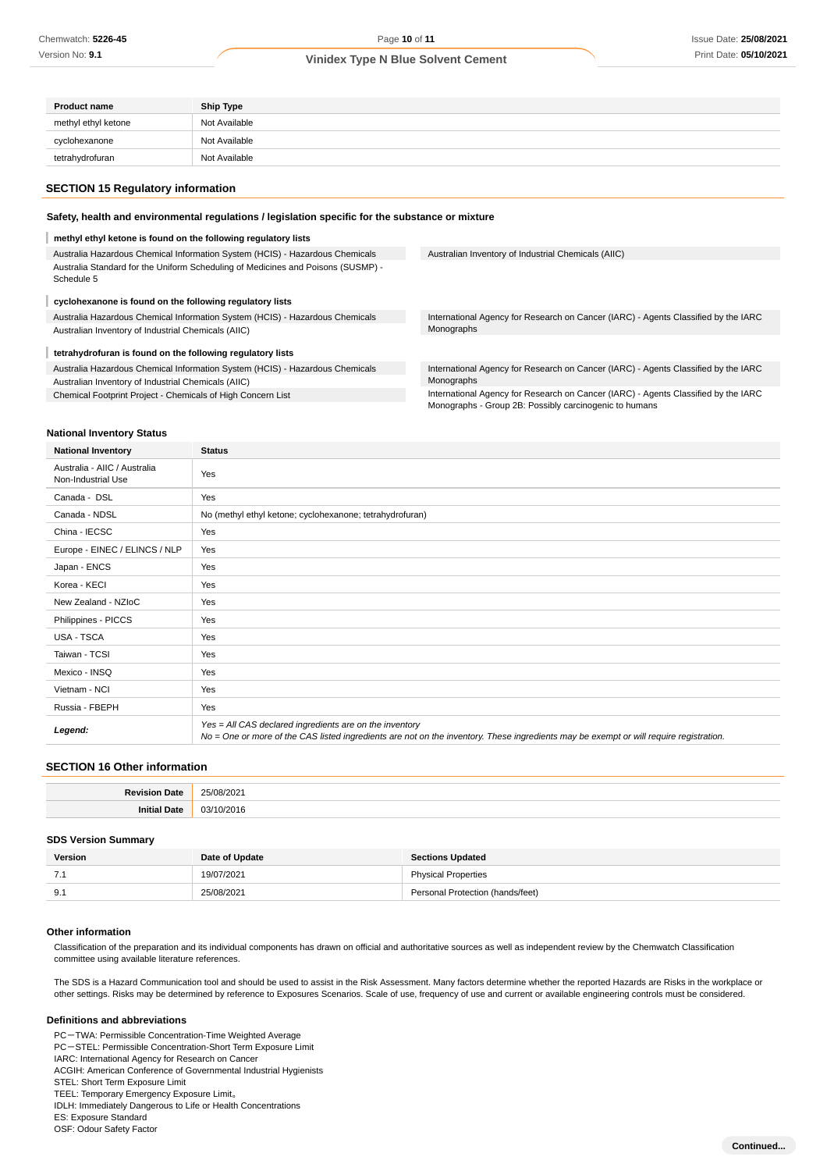| <b>Product name</b> | <b>Ship Type</b> |
|---------------------|------------------|
| methyl ethyl ketone | Not Available    |
| cyclohexanone       | Not Available    |
| tetrahydrofuran     | Not Available    |

### **SECTION 15 Regulatory information**

### **Safety, health and environmental regulations / legislation specific for the substance or mixture**

## **methyl ethyl ketone is found on the following regulatory lists**

| Australia Hazardous Chemical Information System (HCIS) - Hazardous Chemicals                   | Australian Inventory of Industrial Chemicals (AIIC)                                |  |
|------------------------------------------------------------------------------------------------|------------------------------------------------------------------------------------|--|
| Australia Standard for the Uniform Scheduling of Medicines and Poisons (SUSMP) -<br>Schedule 5 |                                                                                    |  |
| cyclohexanone is found on the following regulatory lists                                       |                                                                                    |  |
| Australia Hazardous Chemical Information System (HCIS) - Hazardous Chemicals                   | International Agency for Research on Cancer (IARC) - Agents Classified by the IARC |  |
| Australian Inventory of Industrial Chemicals (AIIC)                                            | Monographs                                                                         |  |
| tetrahydrofuran is found on the following regulatory lists                                     |                                                                                    |  |
| Australia Hazardous Chemical Information System (HCIS) - Hazardous Chemicals                   | International Agency for Research on Cancer (IARC) - Agents Classified by the IARC |  |
| Australian Inventory of Industrial Chemicals (AIIC)                                            | Monographs                                                                         |  |
| Chemical Footprint Project - Chemicals of High Concern List                                    | International Agency for Research on Cancer (IARC) - Agents Classified by the IARC |  |

Monographs - Group 2B: Possibly carcinogenic to humans

### **National Inventory Status**

| <b>National Inventory</b>                          | <b>Status</b>                                                                                                                                                                                     |  |  |
|----------------------------------------------------|---------------------------------------------------------------------------------------------------------------------------------------------------------------------------------------------------|--|--|
| Australia - AIIC / Australia<br>Non-Industrial Use | Yes                                                                                                                                                                                               |  |  |
| Canada - DSL                                       | Yes                                                                                                                                                                                               |  |  |
| Canada - NDSL                                      | No (methyl ethyl ketone; cyclohexanone; tetrahydrofuran)                                                                                                                                          |  |  |
| China - IECSC                                      | Yes                                                                                                                                                                                               |  |  |
| Europe - EINEC / ELINCS / NLP                      | Yes                                                                                                                                                                                               |  |  |
| Japan - ENCS                                       | Yes                                                                                                                                                                                               |  |  |
| Korea - KECI                                       | Yes                                                                                                                                                                                               |  |  |
| New Zealand - NZIoC                                | Yes                                                                                                                                                                                               |  |  |
| Philippines - PICCS                                | Yes                                                                                                                                                                                               |  |  |
| USA - TSCA                                         | Yes                                                                                                                                                                                               |  |  |
| Taiwan - TCSI                                      | Yes                                                                                                                                                                                               |  |  |
| Mexico - INSQ                                      | Yes                                                                                                                                                                                               |  |  |
| Vietnam - NCI                                      | Yes                                                                                                                                                                                               |  |  |
| Russia - FBEPH                                     | Yes                                                                                                                                                                                               |  |  |
| Legend:                                            | Yes = All CAS declared ingredients are on the inventory<br>No = One or more of the CAS listed ingredients are not on the inventory. These ingredients may be exempt or will require registration. |  |  |

### **SECTION 16 Other information**

| )atı<br>σл.<br>,,,,,, | 25/08/2021                   |
|-----------------------|------------------------------|
|                       | 03/1<br>1/2011<br>טו שב<br>. |

#### **SDS Version Summary**

| Version | Date of Update | <b>Sections Updated</b>          |
|---------|----------------|----------------------------------|
| .       | 19/07/2021     | <b>Physical Properties</b>       |
| 9.1     | 25/08/2021     | Personal Protection (hands/feet) |

#### **Other information**

Classification of the preparation and its individual components has drawn on official and authoritative sources as well as independent review by the Chemwatch Classification committee using available literature references.

The SDS is a Hazard Communication tool and should be used to assist in the Risk Assessment. Many factors determine whether the reported Hazards are Risks in the workplace or other settings. Risks may be determined by reference to Exposures Scenarios. Scale of use, frequency of use and current or available engineering controls must be considered.

#### **Definitions and abbreviations**

PC-TWA: Permissible Concentration-Time Weighted Average

PC-STEL: Permissible Concentration-Short Term Exposure Limit

IARC: International Agency for Research on Cancer

ACGIH: American Conference of Governmental Industrial Hygienists

IDLH: Immediately Dangerous to Life or Health Concentrations

ES: Exposure Standard

OSF: Odour Safety Factor

STEL: Short Term Exposure Limit TEEL: Temporary Emergency Exposure Limit。